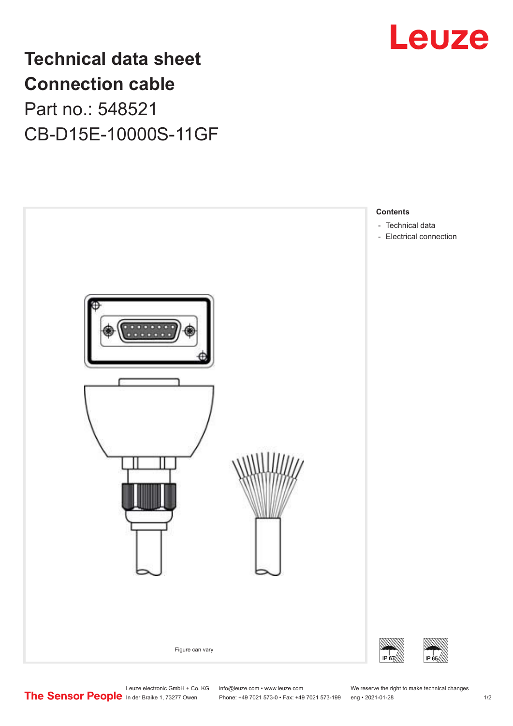

## **Technical data sheet Connection cable** Part no.: 548521 CB-D15E-10000S-11GF



Leuze electronic GmbH + Co. KG info@leuze.com • www.leuze.com We reserve the right to make technical changes<br>
The Sensor People in der Braike 1, 73277 Owen Phone: +49 7021 573-0 • Fax: +49 7021 573-199 eng • 2021-01-28

Phone: +49 7021 573-0 • Fax: +49 7021 573-199 eng • 2021-01-28